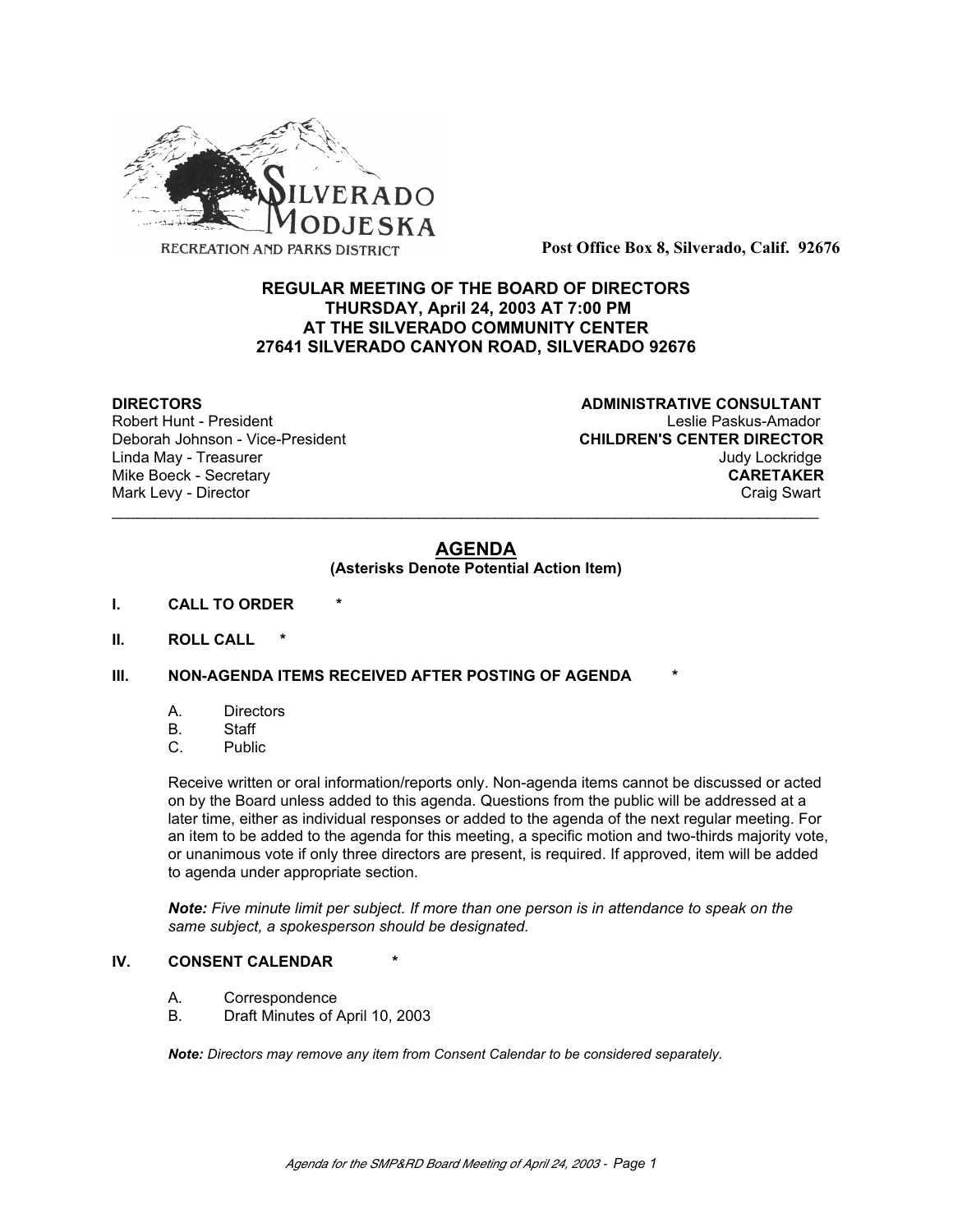

**Post Office Box 8, Silverado, Calif. 92676**

# **REGULAR MEETING OF THE BOARD OF DIRECTORS THURSDAY, April 24, 2003 AT 7:00 PM AT THE SILVERADO COMMUNITY CENTER 27641 SILVERADO CANYON ROAD, SILVERADO 92676**

Deborah Johnson - Vice-President

**DIRECTORS CONSULTANT** Robert Hunt - President<br>
Deborah Johnson - Vice-President 
Leslie Paskus-Amador<br>
CHILDREN'S CENTER DIRECTOR Linda May - Treasurer Judy Lockridge Mike Boeck - Secretary **CARETAKER** Mark Levy - Director **Craig Swart** Craig Swart Craig Swart Craig Swart

# **AGENDA**

\_\_\_\_\_\_\_\_\_\_\_\_\_\_\_\_\_\_\_\_\_\_\_\_\_\_\_\_\_\_\_\_\_\_\_\_\_\_\_\_\_\_\_\_\_\_\_\_\_\_\_\_\_\_\_\_\_\_\_\_\_\_\_\_\_\_\_\_\_\_\_\_\_\_\_\_\_\_\_\_\_\_\_

#### **(Asterisks Denote Potential Action Item)**

- **I. CALL TO ORDER \***
- **II. ROLL CALL \***

#### **III. NON-AGENDA ITEMS RECEIVED AFTER POSTING OF AGENDA**

- A. Directors
- B. Staff
- C. Public

Receive written or oral information/reports only. Non-agenda items cannot be discussed or acted on by the Board unless added to this agenda. Questions from the public will be addressed at a later time, either as individual responses or added to the agenda of the next regular meeting. For an item to be added to the agenda for this meeting, a specific motion and two-thirds majority vote, or unanimous vote if only three directors are present, is required. If approved, item will be added to agenda under appropriate section.

*Note: Five minute limit per subject. If more than one person is in attendance to speak on the same subject, a spokesperson should be designated.*

#### **IV. CONSENT CALENDAR**

- A. Correspondence
- B. Draft Minutes of April 10, 2003

*Note: Directors may remove any item from Consent Calendar to be considered separately.*